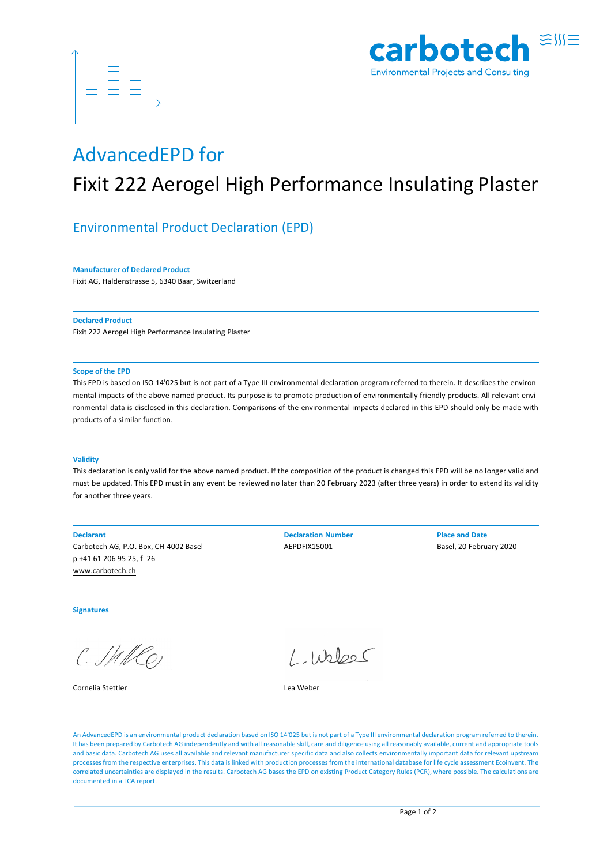



## AdvancedEPD for

# Fixit 222 Aerogel High Performance Insulating Plaster

### Environmental Product Declaration (EPD)

**Manufacturer of Declared Product**

Fixit AG, Haldenstrasse 5, 6340 Baar, Switzerland

**Declared Product**

Fixit 222 Aerogel High Performance Insulating Plaster

#### **Scope of the EPD**

This EPD is based on ISO 14'025 but is not part of a Type III environmental declaration program referred to therein. It describes the environmental impacts of the above named product. Its purpose is to promote production of environmentally friendly products. All relevant environmental data is disclosed in this declaration. Comparisons of the environmental impacts declared in this EPD should only be made with products of a similar function.

#### **Validity**

This declaration is only valid for the above named product. If the composition of the product is changed this EPD will be no longer valid and must be updated. This EPD must in any event be reviewed no later than 20 February 2023 (after three years) in order to extend its validity for another three years.

Carbotech AG, P.O. Box, CH-4002 Basel **AEPDFIX15001** AEPDFIX15001 Basel, 20 February 2020 p +41 61 206 95 25, f -26 www.carbotech.ch

**Declarant Declaration Number Place and Date**

### **Signatures**

C. Shillo

Cornelia Stettler Lea Weber

t

An AdvancedEPD is an environmental product declaration based on ISO 14'025 but is not part of a Type III environmental declaration program referred to therein. It has been prepared by Carbotech AG independently and with all reasonable skill, care and diligence using all reasonably available, current and appropriate tools and basic data. Carbotech AG uses all available and relevant manufacturer specific data and also collects environmentally important data for relevant upstream processes from the respective enterprises. This data is linked with production processes from the international database for life cycle assessment Ecoinvent. The correlated uncertainties are displayed in the results. Carbotech AG bases the EPD on existing Product Category Rules (PCR), where possible. The calculations are documented in a LCA report.